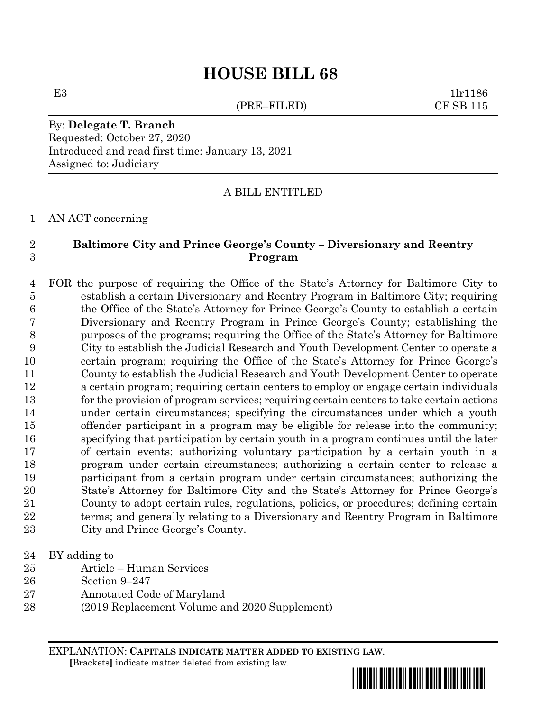## **HOUSE BILL 68**

(PRE–FILED) CF SB 115

E3 1lr1186

By: **Delegate T. Branch** Requested: October 27, 2020 Introduced and read first time: January 13, 2021 Assigned to: Judiciary

A BILL ENTITLED

AN ACT concerning

## **Baltimore City and Prince George's County – Diversionary and Reentry Program**

 FOR the purpose of requiring the Office of the State's Attorney for Baltimore City to establish a certain Diversionary and Reentry Program in Baltimore City; requiring the Office of the State's Attorney for Prince George's County to establish a certain Diversionary and Reentry Program in Prince George's County; establishing the purposes of the programs; requiring the Office of the State's Attorney for Baltimore City to establish the Judicial Research and Youth Development Center to operate a certain program; requiring the Office of the State's Attorney for Prince George's County to establish the Judicial Research and Youth Development Center to operate a certain program; requiring certain centers to employ or engage certain individuals for the provision of program services; requiring certain centers to take certain actions under certain circumstances; specifying the circumstances under which a youth offender participant in a program may be eligible for release into the community; specifying that participation by certain youth in a program continues until the later of certain events; authorizing voluntary participation by a certain youth in a program under certain circumstances; authorizing a certain center to release a participant from a certain program under certain circumstances; authorizing the State's Attorney for Baltimore City and the State's Attorney for Prince George's County to adopt certain rules, regulations, policies, or procedures; defining certain terms; and generally relating to a Diversionary and Reentry Program in Baltimore City and Prince George's County.

- BY adding to
- Article Human Services
- Section 9–247
- Annotated Code of Maryland
- (2019 Replacement Volume and 2020 Supplement)

EXPLANATION: **CAPITALS INDICATE MATTER ADDED TO EXISTING LAW**.  **[**Brackets**]** indicate matter deleted from existing law.

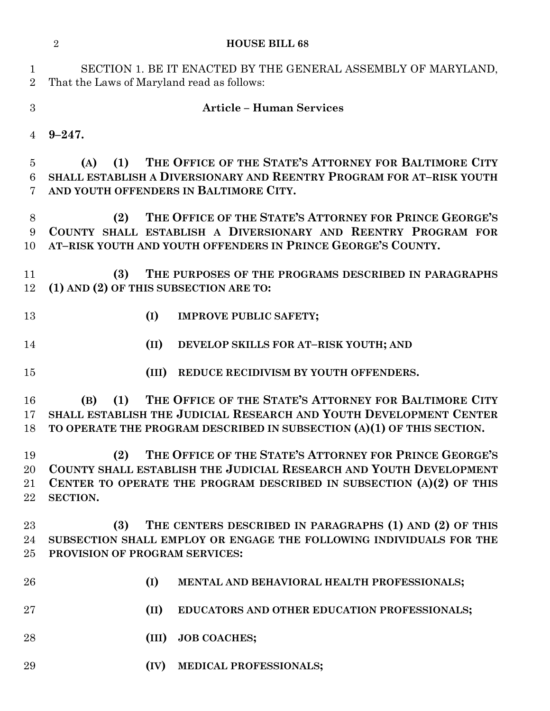|                           | <b>HOUSE BILL 68</b><br>$\overline{2}$                                                                                                                                                                                  |  |  |
|---------------------------|-------------------------------------------------------------------------------------------------------------------------------------------------------------------------------------------------------------------------|--|--|
| $\perp$<br>$\overline{2}$ | SECTION 1. BE IT ENACTED BY THE GENERAL ASSEMBLY OF MARYLAND,<br>That the Laws of Maryland read as follows:                                                                                                             |  |  |
| 3                         | <b>Article - Human Services</b>                                                                                                                                                                                         |  |  |
| $\overline{4}$            | $9 - 247.$                                                                                                                                                                                                              |  |  |
| 5<br>6<br>7               | THE OFFICE OF THE STATE'S ATTORNEY FOR BALTIMORE CITY<br>(1)<br>(A)<br>SHALL ESTABLISH A DIVERSIONARY AND REENTRY PROGRAM FOR AT-RISK YOUTH<br>AND YOUTH OFFENDERS IN BALTIMORE CITY.                                   |  |  |
| $8\,$<br>9<br>10          | THE OFFICE OF THE STATE'S ATTORNEY FOR PRINCE GEORGE'S<br>(2)<br>COUNTY SHALL ESTABLISH A DIVERSIONARY AND REENTRY PROGRAM FOR<br>AT-RISK YOUTH AND YOUTH OFFENDERS IN PRINCE GEORGE'S COUNTY.                          |  |  |
| 11<br>12                  | THE PURPOSES OF THE PROGRAMS DESCRIBED IN PARAGRAPHS<br>(3)<br>(1) AND (2) OF THIS SUBSECTION ARE TO:                                                                                                                   |  |  |
| 13                        | (I)<br><b>IMPROVE PUBLIC SAFETY;</b>                                                                                                                                                                                    |  |  |
| 14                        | (II)<br>DEVELOP SKILLS FOR AT-RISK YOUTH; AND                                                                                                                                                                           |  |  |
| 15                        | (III)<br>REDUCE RECIDIVISM BY YOUTH OFFENDERS.                                                                                                                                                                          |  |  |
| 16<br>17<br>18            | THE OFFICE OF THE STATE'S ATTORNEY FOR BALTIMORE CITY<br>(1)<br>(B)<br>SHALL ESTABLISH THE JUDICIAL RESEARCH AND YOUTH DEVELOPMENT CENTER<br>TO OPERATE THE PROGRAM DESCRIBED IN SUBSECTION (A)(1) OF THIS SECTION.     |  |  |
| 19<br>20<br>21<br>22      | THE OFFICE OF THE STATE'S ATTORNEY FOR PRINCE GEORGE'S<br>(2)<br>COUNTY SHALL ESTABLISH THE JUDICIAL RESEARCH AND YOUTH DEVELOPMENT<br>CENTER TO OPERATE THE PROGRAM DESCRIBED IN SUBSECTION (A)(2) OF THIS<br>SECTION. |  |  |
| $23\,$<br>24<br>$25\,$    | THE CENTERS DESCRIBED IN PARAGRAPHS (1) AND (2) OF THIS<br>(3)<br>SUBSECTION SHALL EMPLOY OR ENGAGE THE FOLLOWING INDIVIDUALS FOR THE<br>PROVISION OF PROGRAM SERVICES:                                                 |  |  |
| 26                        | (I)<br>MENTAL AND BEHAVIORAL HEALTH PROFESSIONALS;                                                                                                                                                                      |  |  |
| $27\,$                    | (II)<br>EDUCATORS AND OTHER EDUCATION PROFESSIONALS;                                                                                                                                                                    |  |  |
| 28                        | <b>JOB COACHES;</b><br>(III)                                                                                                                                                                                            |  |  |
| 29                        | (IV)<br>MEDICAL PROFESSIONALS;                                                                                                                                                                                          |  |  |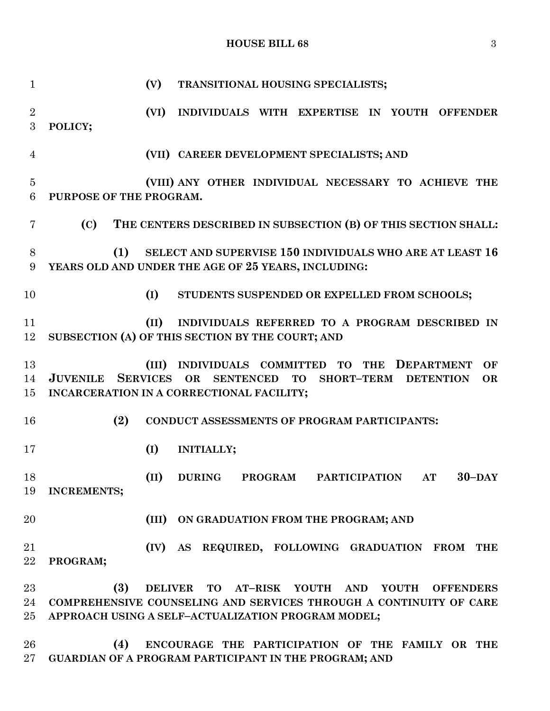## **HOUSE BILL 68** 3

| $\mathbf{1}$           |                             | (V)<br>TRANSITIONAL HOUSING SPECIALISTS;                                                                                                                                                      |
|------------------------|-----------------------------|-----------------------------------------------------------------------------------------------------------------------------------------------------------------------------------------------|
| $\overline{2}$<br>3    | POLICY;                     | (VI)<br>INDIVIDUALS WITH EXPERTISE IN YOUTH OFFENDER                                                                                                                                          |
| $\overline{4}$         |                             | (VII) CAREER DEVELOPMENT SPECIALISTS; AND                                                                                                                                                     |
| $\overline{5}$<br>6    | PURPOSE OF THE PROGRAM.     | (VIII) ANY OTHER INDIVIDUAL NECESSARY TO ACHIEVE THE                                                                                                                                          |
| 7                      | (C)                         | THE CENTERS DESCRIBED IN SUBSECTION (B) OF THIS SECTION SHALL:                                                                                                                                |
| 8<br>9                 | (1)                         | SELECT AND SUPERVISE 150 INDIVIDUALS WHO ARE AT LEAST 16<br>YEARS OLD AND UNDER THE AGE OF 25 YEARS, INCLUDING:                                                                               |
| 10                     |                             | (I)<br>STUDENTS SUSPENDED OR EXPELLED FROM SCHOOLS;                                                                                                                                           |
| 11<br>12               |                             | (II)<br>INDIVIDUALS REFERRED TO A PROGRAM DESCRIBED IN<br>SUBSECTION (A) OF THIS SECTION BY THE COURT; AND                                                                                    |
| 13<br>14<br>15         | <b>JUVENILE SERVICES OR</b> | INDIVIDUALS COMMITTED TO<br>(III)<br>THE DEPARTMENT<br>OF<br><b>SENTENCED</b><br><b>TO</b><br><b>SHORT-TERM</b><br><b>DETENTION</b><br><b>OR</b><br>INCARCERATION IN A CORRECTIONAL FACILITY; |
| 16                     | (2)                         | CONDUCT ASSESSMENTS OF PROGRAM PARTICIPANTS:                                                                                                                                                  |
| 17                     |                             | (I)<br><b>INITIALLY;</b>                                                                                                                                                                      |
| 18<br>19               | <b>INCREMENTS;</b>          | (II) DURING PROGRAM PARTICIPATION AT<br>$30 -$ DAY                                                                                                                                            |
| 20                     |                             | (III)<br>ON GRADUATION FROM THE PROGRAM; AND                                                                                                                                                  |
| 21<br>22               | PROGRAM;                    | (IV) AS REQUIRED, FOLLOWING GRADUATION FROM<br><b>THE</b>                                                                                                                                     |
| $23\,$<br>24<br>$25\,$ | (3)                         | DELIVER TO AT-RISK YOUTH AND<br><b>YOUTH</b><br><b>OFFENDERS</b><br>COMPREHENSIVE COUNSELING AND SERVICES THROUGH A CONTINUITY OF CARE<br>APPROACH USING A SELF-ACTUALIZATION PROGRAM MODEL;  |

 **(4) ENCOURAGE THE PARTICIPATION OF THE FAMILY OR THE GUARDIAN OF A PROGRAM PARTICIPANT IN THE PROGRAM; AND**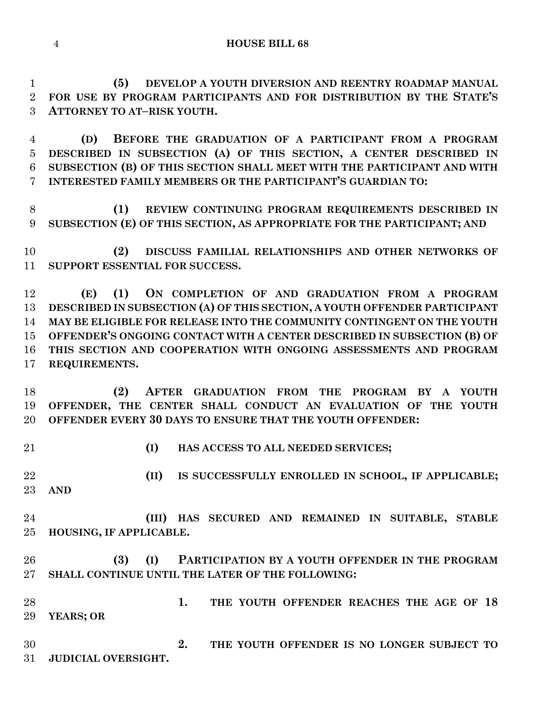**(5) DEVELOP A YOUTH DIVERSION AND REENTRY ROADMAP MANUAL FOR USE BY PROGRAM PARTICIPANTS AND FOR DISTRIBUTION BY THE STATE'S ATTORNEY TO AT–RISK YOUTH.**

 **(D) BEFORE THE GRADUATION OF A PARTICIPANT FROM A PROGRAM DESCRIBED IN SUBSECTION (A) OF THIS SECTION, A CENTER DESCRIBED IN SUBSECTION (B) OF THIS SECTION SHALL MEET WITH THE PARTICIPANT AND WITH INTERESTED FAMILY MEMBERS OR THE PARTICIPANT'S GUARDIAN TO:**

 **(1) REVIEW CONTINUING PROGRAM REQUIREMENTS DESCRIBED IN SUBSECTION (E) OF THIS SECTION, AS APPROPRIATE FOR THE PARTICIPANT; AND** 

 **(2) DISCUSS FAMILIAL RELATIONSHIPS AND OTHER NETWORKS OF SUPPORT ESSENTIAL FOR SUCCESS.**

 **(E) (1) ON COMPLETION OF AND GRADUATION FROM A PROGRAM DESCRIBED IN SUBSECTION (A) OF THIS SECTION, A YOUTH OFFENDER PARTICIPANT MAY BE ELIGIBLE FOR RELEASE INTO THE COMMUNITY CONTINGENT ON THE YOUTH OFFENDER'S ONGOING CONTACT WITH A CENTER DESCRIBED IN SUBSECTION (B) OF THIS SECTION AND COOPERATION WITH ONGOING ASSESSMENTS AND PROGRAM REQUIREMENTS.**

 **(2) AFTER GRADUATION FROM THE PROGRAM BY A YOUTH OFFENDER, THE CENTER SHALL CONDUCT AN EVALUATION OF THE YOUTH OFFENDER EVERY 30 DAYS TO ENSURE THAT THE YOUTH OFFENDER:**

**(I) HAS ACCESS TO ALL NEEDED SERVICES;**

 **(II) IS SUCCESSFULLY ENROLLED IN SCHOOL, IF APPLICABLE; AND**

 **(III) HAS SECURED AND REMAINED IN SUITABLE, STABLE HOUSING, IF APPLICABLE.**

 **(3) (I) PARTICIPATION BY A YOUTH OFFENDER IN THE PROGRAM SHALL CONTINUE UNTIL THE LATER OF THE FOLLOWING:**

 **1. THE YOUTH OFFENDER REACHES THE AGE OF 18 YEARS; OR**

 **2. THE YOUTH OFFENDER IS NO LONGER SUBJECT TO JUDICIAL OVERSIGHT.**